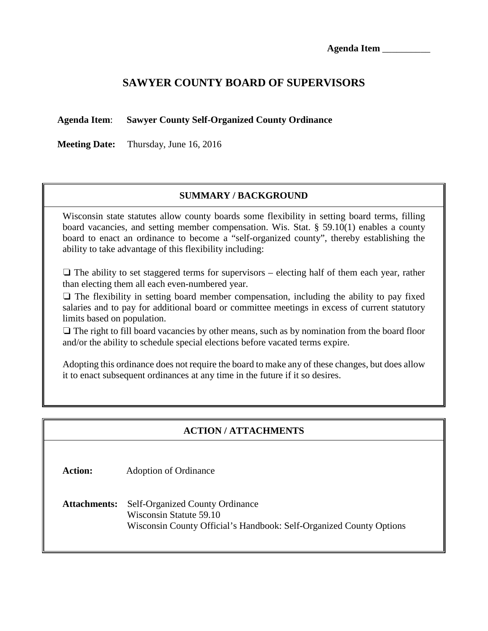# **SAWYER COUNTY BOARD OF SUPERVISORS**

### **Agenda Item**: **Sawyer County Self-Organized County Ordinance**

**Meeting Date:** Thursday, June 16, 2016

## **SUMMARY / BACKGROUND**

Wisconsin state statutes allow county boards some flexibility in setting board terms, filling board vacancies, and setting member compensation. Wis. Stat. § 59.10(1) enables a county board to enact an ordinance to become a "self-organized county", thereby establishing the ability to take advantage of this flexibility including:

 $\Box$  The ability to set staggered terms for supervisors – electing half of them each year, rather than electing them all each even-numbered year.

❏ The flexibility in setting board member compensation, including the ability to pay fixed salaries and to pay for additional board or committee meetings in excess of current statutory limits based on population.

 $\Box$  The right to fill board vacancies by other means, such as by nomination from the board floor and/or the ability to schedule special elections before vacated terms expire.

Adopting this ordinance does not require the board to make any of these changes, but does allow it to enact subsequent ordinances at any time in the future if it so desires.

## **ACTION / ATTACHMENTS**

**Action:** Adoption of Ordinance

**Attachments:** Self-Organized County Ordinance Wisconsin Statute 59.10 Wisconsin County Official's Handbook: Self-Organized County Options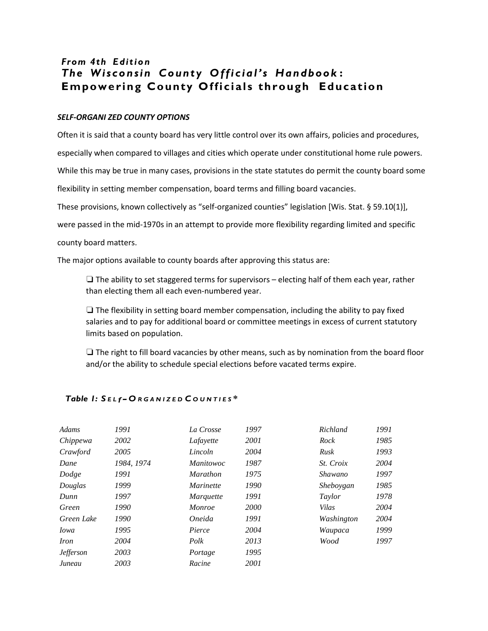# *From 4th Edition The Wisconsin County Official's Handbook* **: Empowering County Officials through Education**

#### *SELF-ORGANI ZED COUNTY OPTIONS*

Often it is said that a county board has very little control over its own affairs, policies and procedures,

especially when compared to villages and cities which operate under constitutional home rule powers.

While this may be true in many cases, provisions in the state statutes do permit the county board some

flexibility in setting member compensation, board terms and filling board vacancies.

These provisions, known collectively as "self-organized counties" legislation [Wis. Stat. § 59.10(1)],

were passed in the mid-1970s in an attempt to provide more flexibility regarding limited and specific

county board matters.

The major options available to county boards after approving this status are:

 $\Box$  The ability to set staggered terms for supervisors – electing half of them each year, rather than electing them all each even-numbered year.

❏ The flexibility in setting board member compensation, including the ability to pay fixed salaries and to pay for additional board or committee meetings in excess of current statutory limits based on population.

❏ The right to fill board vacancies by other means, such as by nomination from the board floor and/or the ability to schedule special elections before vacated terms expire.

| Adams                   | 1991       | La Crosse        | 1997        | Richland         | 1991 |
|-------------------------|------------|------------------|-------------|------------------|------|
| Chippewa                | 2002       | Lafayette        | <i>2001</i> | Rock             | 1985 |
| Crawford                | 2005       | Lincoln          | 2004        | Rusk             | 1993 |
| Dane                    | 1984, 1974 | <i>Manitowoc</i> | 1987        | <i>St.</i> Croix | 2004 |
| Dodge                   | 1991       | <b>Marathon</b>  | 1975        | Shawano          | 1997 |
| Douglas                 | 1999       | <i>Marinette</i> | 1990        | Sheboygan        | 1985 |
| Dunn                    | 1997       | Marquette        | 1991        | <i>Taylor</i>    | 1978 |
| Green                   | 1990       | <i>Monroe</i>    | <i>2000</i> | Vilas            | 2004 |
| Green Lake              | 1990       | Oneida           | 1991        | Washington       | 2004 |
| <i>Iowa</i>             | 1995       | Pierce           | 2004        | Waupaca          | 1999 |
| <i>Iron</i>             | 2004       | Polk             | 2013        | Wood             | 1997 |
| <b><i>Jefferson</i></b> | 2003       | Portage          | 1995        |                  |      |
| Juneau                  | 2003       | Racine           | 2001        |                  |      |

#### *Table 1: S <sup>E</sup> <sup>L</sup> f- O <sup>R</sup> <sup>G</sup> <sup>A</sup> <sup>N</sup> <sup>I</sup> <sup>Z</sup> <sup>E</sup> <sup>D</sup> C <sup>O</sup> <sup>U</sup> <sup>N</sup> <sup>T</sup> <sup>I</sup> <sup>E</sup> <sup>S</sup> \**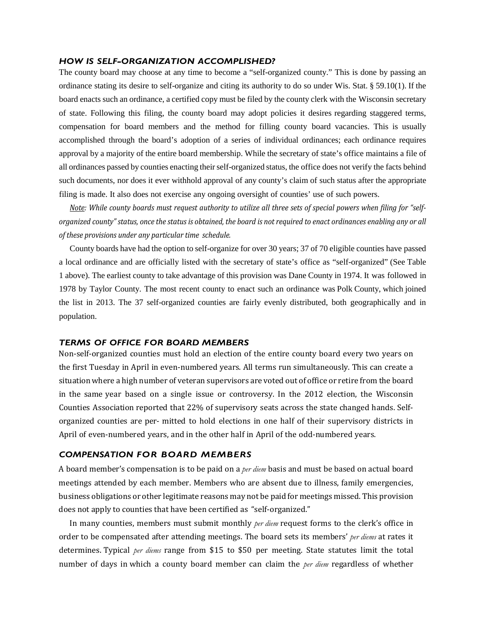#### *HOW IS SELF-ORGANIZATION ACCOMPLISHED?*

The county board may choose at any time to become a "self-organized county." This is done by passing an ordinance stating its desire to self-organize and citing its authority to do so under Wis. Stat. § 59.10(1). If the board enacts such an ordinance, a certified copy must be filed by the county clerk with the Wisconsin secretary of state. Following this filing, the county board may adopt policies it desires regarding staggered terms, compensation for board members and the method for filling county board vacancies. This is usually accomplished through the board's adoption of a series of individual ordinances; each ordinance requires approval by a majority of the entire board membership. While the secretary of state's office maintains a file of all ordinances passed by counties enacting their self-organized status, the office does not verify the facts behind such documents, nor does it ever withhold approval of any county's claim of such status after the appropriate filing is made. It also does not exercise any ongoing oversight of counties' use of such powers.

*Note: While county boards must request authority to utilize all three sets of special powers when filing for "selforganized county" status, once the status is obtained, the board is not required to enact ordinances enabling any or all of these provisions under any particular time schedule.*

County boards have had the option to self-organize for over 30 years; 37 of 70 eligible counties have passed a local ordinance and are officially listed with the secretary of state's office as "self-organized" (See Table 1 above). The earliest county to take advantage of this provision was Dane County in 1974. It was followed in 1978 by Taylor County. The most recent county to enact such an ordinance was Polk County, which joined the list in 2013. The 37 self-organized counties are fairly evenly distributed, both geographically and in population.

#### *TERMS OF OFFICE FOR BOARD MEMBERS*

Non-self-organized counties must hold an election of the entire county board every two years on the first Tuesday in April in even-numbered years. All terms run simultaneously. This can create a situationwhere a high number of veteran supervisors are voted out of office or retire from the board in the same year based on a single issue or controversy. In the 2012 election, the Wisconsin Counties Association reported that 22% of supervisory seats across the state changed hands. Selforganized counties are per- mitted to hold elections in one half of their supervisory districts in April of even-numbered years, and in the other half in April of the odd-numbered years.

#### *COMPENSATION FOR BOARD MEMBERS*

A board member's compensation is to be paid on a *per diem* basis and must be based on actual board meetings attended by each member. Members who are absent due to illness, family emergencies, business obligations or other legitimate reasons may not be paid for meetings missed. This provision does not apply to counties that have been certified as "self-organized."

In many counties, members must submit monthly *per diem* request forms to the clerk's office in order to be compensated after attending meetings. The board sets its members' *per diems* at rates it determines. Typical *per diems* range from \$15 to \$50 per meeting. State statutes limit the total number of days in which a county board member can claim the *per diem* regardless of whether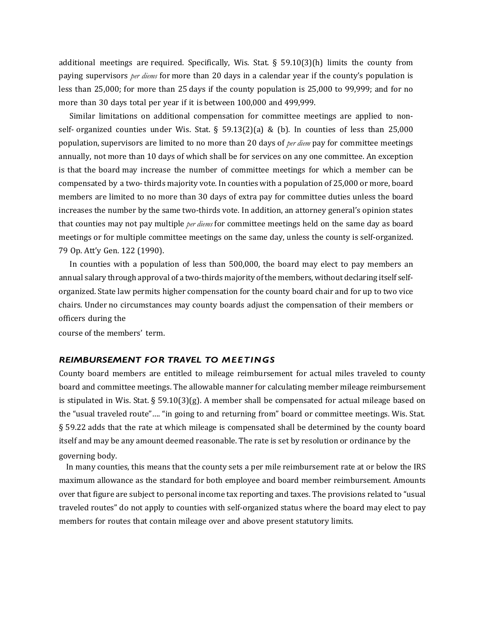additional meetings are required. Specifically, Wis. Stat.  $\S$  59.10(3)(h) limits the county from paying supervisors *per diems* for more than 20 days in a calendar year if the county's population is less than 25,000; for more than 25 days if the county population is 25,000 to 99,999; and for no more than 30 days total per year if it is between 100,000 and 499,999.

Similar limitations on additional compensation for committee meetings are applied to nonself- organized counties under Wis. Stat. § 59.13(2)(a) & (b). In counties of less than 25,000 population, supervisors are limited to no more than 20 days of *per diem* pay for committee meetings annually, not more than 10 days of which shall be for services on any one committee. An exception is that the board may increase the number of committee meetings for which a member can be compensated by a two-thirds majority vote. In counties with a population of 25,000 or more, board members are limited to no more than 30 days of extra pay for committee duties unless the board increases the number by the same two-thirds vote. In addition, an attorney general's opinion states that counties may not pay multiple *per diems* for committee meetings held on the same day as board meetings or for multiple committee meetings on the same day, unless the county is self-organized. 79 Op. Att'y Gen. 122 (1990).

In counties with a population of less than 500,000, the board may elect to pay members an annual salary through approval of a two-thirds majority ofthe members, without declaring itself selforganized. State law permits higher compensation for the county board chair and for up to two vice chairs. Under no circumstances may county boards adjust the compensation of their members or officers during the

course of the members' term.

#### *REIMBURSEMENT FOR TRAVEL TO MEETINGS*

County board members are entitled to mileage reimbursement for actual miles traveled to county board and committee meetings. The allowable manner for calculating member mileage reimbursement is stipulated in Wis. Stat. § 59.10(3)(g). A member shall be compensated for actual mileage based on the "usual traveled route"…. "in going to and returning from" board or committee meetings. Wis. Stat. § 59.22 adds that the rate at which mileage is compensated shall be determined by the county board itself and may be any amount deemed reasonable. The rate is set by resolution or ordinance by the governing body.

In many counties, this means that the county sets a per mile reimbursement rate at or below the IRS maximum allowance as the standard for both employee and board member reimbursement. Amounts over that figure are subject to personal income tax reporting and taxes. The provisions related to "usual traveled routes" do not apply to counties with self-organized status where the board may elect to pay members for routes that contain mileage over and above present statutory limits.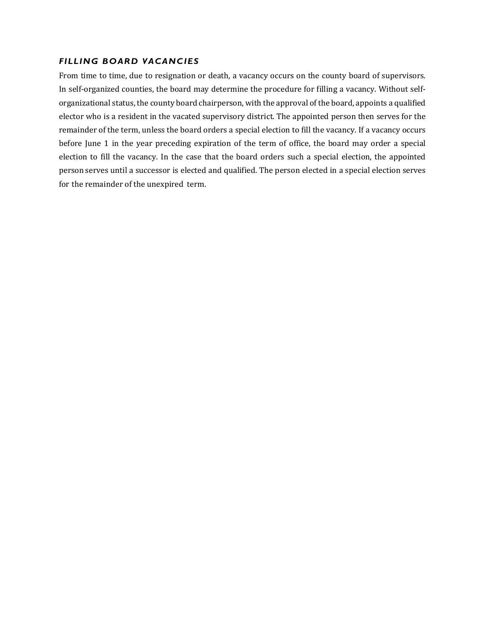### *FILLING BOARD VACANCIES*

From time to time, due to resignation or death, a vacancy occurs on the county board of supervisors. In self-organized counties, the board may determine the procedure for filling a vacancy. Without selforganizational status, the county board chairperson, with the approval of the board, appoints a qualified elector who is a resident in the vacated supervisory district. The appointed person then serves for the remainder of the term, unless the board orders a special election to fill the vacancy. If a vacancy occurs before June 1 in the year preceding expiration of the term of office, the board may order a special election to fill the vacancy. In the case that the board orders such a special election, the appointed person serves until a successor is elected and qualified. The person elected in a special election serves for the remainder of the unexpired term.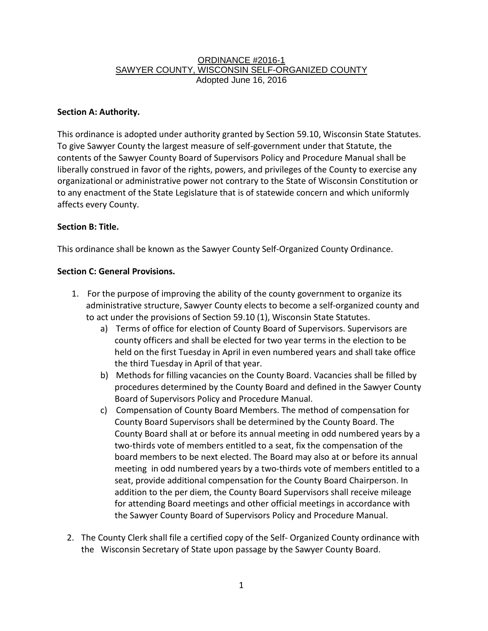#### ORDINANCE #2016-1 SAWYER COUNTY, WISCONSIN SELF-ORGANIZED COUNTY Adopted June 16, 2016

### **Section A: Authority.**

This ordinance is adopted under authority granted by Section 59.10, Wisconsin State Statutes. To give Sawyer County the largest measure of self-government under that Statute, the contents of the Sawyer County Board of Supervisors Policy and Procedure Manual shall be liberally construed in favor of the rights, powers, and privileges of the County to exercise any organizational or administrative power not contrary to the State of Wisconsin Constitution or to any enactment of the State Legislature that is of statewide concern and which uniformly affects every County.

### **Section B: Title.**

This ordinance shall be known as the Sawyer County Self-Organized County Ordinance.

### **Section C: General Provisions.**

- 1. For the purpose of improving the ability of the county government to organize its administrative structure, Sawyer County elects to become a self-organized county and to act under the provisions of Section 59.10 (1), Wisconsin State Statutes.
	- a) Terms of office for election of County Board of Supervisors. Supervisors are county officers and shall be elected for two year terms in the election to be held on the first Tuesday in April in even numbered years and shall take office the third Tuesday in April of that year.
	- b) Methods for filling vacancies on the County Board. Vacancies shall be filled by procedures determined by the County Board and defined in the Sawyer County Board of Supervisors Policy and Procedure Manual.
	- c) Compensation of County Board Members. The method of compensation for County Board Supervisors shall be determined by the County Board. The County Board shall at or before its annual meeting in odd numbered years by a two-thirds vote of members entitled to a seat, fix the compensation of the board members to be next elected. The Board may also at or before its annual meeting in odd numbered years by a two-thirds vote of members entitled to a seat, provide additional compensation for the County Board Chairperson. In addition to the per diem, the County Board Supervisors shall receive mileage for attending Board meetings and other official meetings in accordance with the Sawyer County Board of Supervisors Policy and Procedure Manual.
- 2. The County Clerk shall file a certified copy of the Self- Organized County ordinance with the Wisconsin Secretary of State upon passage by the Sawyer County Board.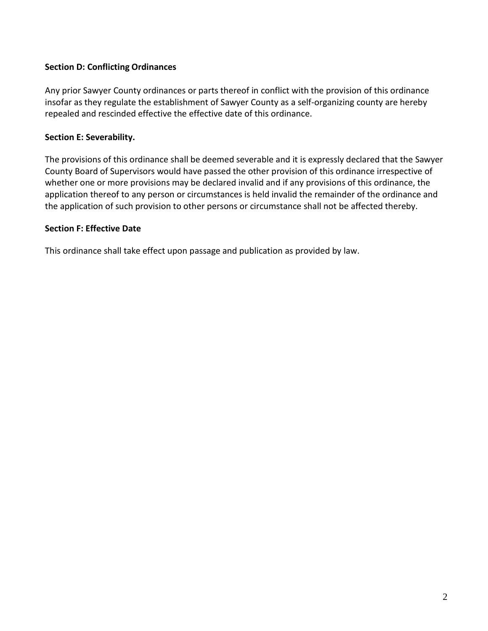### **Section D: Conflicting Ordinances**

Any prior Sawyer County ordinances or parts thereof in conflict with the provision of this ordinance insofar as they regulate the establishment of Sawyer County as a self-organizing county are hereby repealed and rescinded effective the effective date of this ordinance.

### **Section E: Severability.**

The provisions of this ordinance shall be deemed severable and it is expressly declared that the Sawyer County Board of Supervisors would have passed the other provision of this ordinance irrespective of whether one or more provisions may be declared invalid and if any provisions of this ordinance, the application thereof to any person or circumstances is held invalid the remainder of the ordinance and the application of such provision to other persons or circumstance shall not be affected thereby.

### **Section F: Effective Date**

This ordinance shall take effect upon passage and publication as provided by law.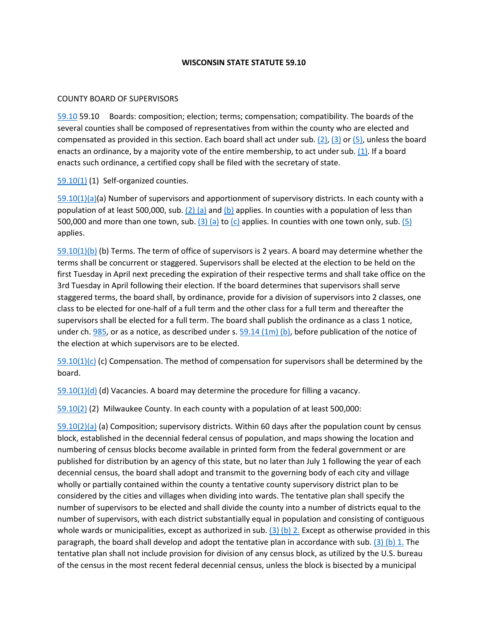#### **WISCONSIN STATE STATUTE 59.10**

#### COUNTY BOARD OF SUPERVISORS

[59.10](http://docs.legis.wisconsin.gov/document/statutes/59.10) 59.10 Boards: composition; election; terms; compensation; compatibility. The boards of the several counties shall be composed of representatives from within the county who are elected and compensated as provided in this section. Each board shall act under sub.  $(2)$ ,  $(3)$  or  $(5)$ , unless the board enacts an ordinance, by a majority vote of the entire membership, to act under sub. [\(1\).](http://docs.legis.wisconsin.gov/document/statutes/59.10(1)) If a board enacts such ordinance, a certified copy shall be filed with the secretary of state.

[59.10\(1\)](http://docs.legis.wisconsin.gov/document/statutes/59.10(1)) (1) Self-organized counties.

[59.10\(1\)\(a\)\(](http://docs.legis.wisconsin.gov/document/statutes/59.10(1)(a))a) Number of supervisors and apportionment of supervisory districts. In each county with a population of at least 500,000, sub.  $(2)$  (a) and [\(b\)](http://docs.legis.wisconsin.gov/document/statutes/59.10(2)(b)) applies. In counties with a population of less than 500,000 and more than one town, sub.  $(3)$  (a) to  $(c)$  applies. In counties with one town only, sub.  $(5)$ applies.

[59.10\(1\)\(b\)](http://docs.legis.wisconsin.gov/document/statutes/59.10(1)(b)) (b) Terms. The term of office of supervisors is 2 years. A board may determine whether the terms shall be concurrent or staggered. Supervisors shall be elected at the election to be held on the first Tuesday in April next preceding the expiration of their respective terms and shall take office on the 3rd Tuesday in April following their election. If the board determines that supervisors shall serve staggered terms, the board shall, by ordinance, provide for a division of supervisors into 2 classes, one class to be elected for one-half of a full term and the other class for a full term and thereafter the supervisors shall be elected for a full term. The board shall publish the ordinance as a class 1 notice, under ch.  $985$ , or as a notice, as described under s.  $59.14$  (1m) (b), before publication of the notice of the election at which supervisors are to be elected.

 $59.10(1)(c)$  (c) Compensation. The method of compensation for supervisors shall be determined by the board.

 $59.10(1)(d)$  (d) Vacancies. A board may determine the procedure for filling a vacancy.

[59.10\(2\)](http://docs.legis.wisconsin.gov/document/statutes/59.10(2)) (2) Milwaukee County. In each county with a population of at least 500,000:

[59.10\(2\)\(a\)](http://docs.legis.wisconsin.gov/document/statutes/59.10(2)(a)) (a) Composition; supervisory districts. Within 60 days after the population count by census block, established in the decennial federal census of population, and maps showing the location and numbering of census blocks become available in printed form from the federal government or are published for distribution by an agency of this state, but no later than July 1 following the year of each decennial census, the board shall adopt and transmit to the governing body of each city and village wholly or partially contained within the county a tentative county supervisory district plan to be considered by the cities and villages when dividing into wards. The tentative plan shall specify the number of supervisors to be elected and shall divide the county into a number of districts equal to the number of supervisors, with each district substantially equal in population and consisting of contiguous whole wards or municipalities, except as authorized in sub.  $(3)$  (b) 2. Except as otherwise provided in this paragraph, the board shall develop and adopt the tentative plan in accordance with sub. [\(3\) \(b\) 1.](http://docs.legis.wisconsin.gov/document/statutes/59.10(3)(b)1.) The tentative plan shall not include provision for division of any census block, as utilized by the U.S. bureau of the census in the most recent federal decennial census, unless the block is bisected by a municipal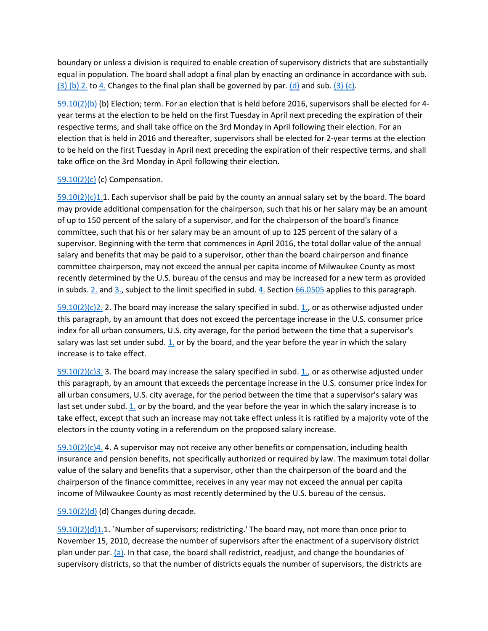boundary or unless a division is required to enable creation of supervisory districts that are substantially equal in population. The board shall adopt a final plan by enacting an ordinance in accordance with sub.  $(3)$  (b) 2. t[o 4.](http://docs.legis.wisconsin.gov/document/statutes/59.10(3)(b)4.) Changes to the final plan shall be governed by par[. \(d\)](http://docs.legis.wisconsin.gov/document/statutes/59.10(2)(d)) and sub. [\(3\) \(c\).](http://docs.legis.wisconsin.gov/document/statutes/59.10(3)(c))

[59.10\(2\)\(b\)](http://docs.legis.wisconsin.gov/document/statutes/59.10(2)(b)) (b) Election; term. For an election that is held before 2016, supervisors shall be elected for 4 year terms at the election to be held on the first Tuesday in April next preceding the expiration of their respective terms, and shall take office on the 3rd Monday in April following their election. For an election that is held in 2016 and thereafter, supervisors shall be elected for 2-year terms at the election to be held on the first Tuesday in April next preceding the expiration of their respective terms, and shall take office on the 3rd Monday in April following their election.

#### [59.10\(2\)\(c\)](http://docs.legis.wisconsin.gov/document/statutes/59.10(2)(c)) (c) Compensation.

 $59.10(2)(c)1.1$ . Each supervisor shall be paid by the county an annual salary set by the board. The board may provide additional compensation for the chairperson, such that his or her salary may be an amount of up to 150 percent of the salary of a supervisor, and for the chairperson of the board's finance committee, such that his or her salary may be an amount of up to 125 percent of the salary of a supervisor. Beginning with the term that commences in April 2016, the total dollar value of the annual salary and benefits that may be paid to a supervisor, other than the board chairperson and finance committee chairperson, may not exceed the annual per capita income of Milwaukee County as most recently determined by the U.S. bureau of the census and may be increased for a new term as provided in subds. [2.](http://docs.legis.wisconsin.gov/document/statutes/59.10(2)(c)2.) and [3.,](http://docs.legis.wisconsin.gov/document/statutes/59.10(2)(c)3.) subject to the limit specified in subd. [4.](http://docs.legis.wisconsin.gov/document/statutes/59.10(2)(c)4.) Section [66.0505](http://docs.legis.wisconsin.gov/document/statutes/66.0505) applies to this paragraph.

 $59.10(2)(c)$ 2. 2. The board may increase the salary specified in subd. [1.,](http://docs.legis.wisconsin.gov/document/statutes/59.10(2)(c)1.) or as otherwise adjusted under this paragraph, by an amount that does not exceed the percentage increase in the U.S. consumer price index for all urban consumers, U.S. city average, for the period between the time that a supervisor's salary was last set under subd. [1.](http://docs.legis.wisconsin.gov/document/statutes/59.10(2)(c)1.) or by the board, and the year before the year in which the salary increase is to take effect.

 $59.10(2)(c)3.$  3. The board may increase the salary specified in subd. 1, or as otherwise adjusted under this paragraph, by an amount that exceeds the percentage increase in the U.S. consumer price index for all urban consumers, U.S. city average, for the period between the time that a supervisor's salary was last set under subd.  $1$  or by the board, and the year before the year in which the salary increase is to take effect, except that such an increase may not take effect unless it is ratified by a majority vote of the electors in the county voting in a referendum on the proposed salary increase.

 $59.10(2)(c)4$ . 4. A supervisor may not receive any other benefits or compensation, including health insurance and pension benefits, not specifically authorized or required by law. The maximum total dollar value of the salary and benefits that a supervisor, other than the chairperson of the board and the chairperson of the finance committee, receives in any year may not exceed the annual per capita income of Milwaukee County as most recently determined by the U.S. bureau of the census.

[59.10\(2\)\(d\)](http://docs.legis.wisconsin.gov/document/statutes/59.10(2)(d)) (d) Changes during decade.

 $59.10(2)(d)1.1$ . `Number of supervisors; redistricting.' The board may, not more than once prior to November 15, 2010, decrease the number of supervisors after the enactment of a supervisory district plan under par. [\(a\).](http://docs.legis.wisconsin.gov/document/statutes/59.10(2)(a)) In that case, the board shall redistrict, readjust, and change the boundaries of supervisory districts, so that the number of districts equals the number of supervisors, the districts are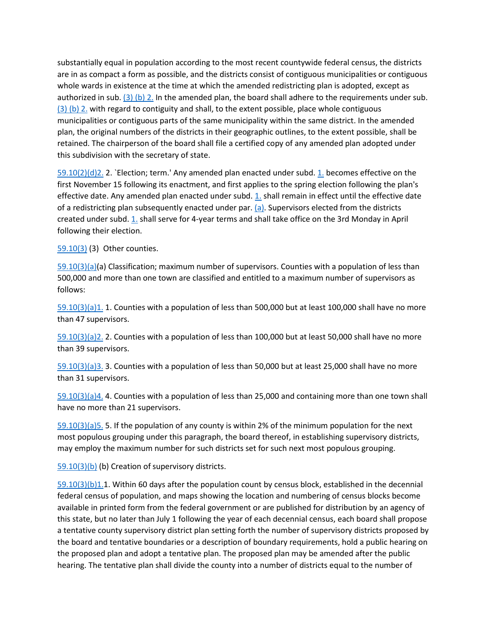substantially equal in population according to the most recent countywide federal census, the districts are in as compact a form as possible, and the districts consist of contiguous municipalities or contiguous whole wards in existence at the time at which the amended redistricting plan is adopted, except as authorized in sub[. \(3\) \(b\) 2.](http://docs.legis.wisconsin.gov/document/statutes/59.10(3)(b)2.) In the amended plan, the board shall adhere to the requirements under sub. [\(3\) \(b\) 2.](http://docs.legis.wisconsin.gov/document/statutes/59.10(3)(b)2.) with regard to contiguity and shall, to the extent possible, place whole contiguous municipalities or contiguous parts of the same municipality within the same district. In the amended plan, the original numbers of the districts in their geographic outlines, to the extent possible, shall be retained. The chairperson of the board shall file a certified copy of any amended plan adopted under this subdivision with the secretary of state.

[59.10\(2\)\(d\)2.](http://docs.legis.wisconsin.gov/document/statutes/59.10(2)(d)2.) 2. `Election; term.' Any amended plan enacted under subd. [1.](http://docs.legis.wisconsin.gov/document/statutes/59.10(2)(d)1.) becomes effective on the first November 15 following its enactment, and first applies to the spring election following the plan's effective date. Any amended plan enacted under subd. [1.](http://docs.legis.wisconsin.gov/document/statutes/59.10(2)(d)1.) shall remain in effect until the effective date of a redistricting plan subsequently enacted under par[. \(a\).](http://docs.legis.wisconsin.gov/document/statutes/59.10(2)(a)) Supervisors elected from the districts created under subd[. 1.](http://docs.legis.wisconsin.gov/document/statutes/59.10(2)(d)1.) shall serve for 4-year terms and shall take office on the 3rd Monday in April following their election.

[59.10\(3\)](http://docs.legis.wisconsin.gov/document/statutes/59.10(3)) (3) Other counties.

[59.10\(3\)\(a\)\(](http://docs.legis.wisconsin.gov/document/statutes/59.10(3)(a))a) Classification; maximum number of supervisors. Counties with a population of less than 500,000 and more than one town are classified and entitled to a maximum number of supervisors as follows:

[59.10\(3\)\(a\)1.](http://docs.legis.wisconsin.gov/document/statutes/59.10(3)(a)1.) 1. Counties with a population of less than 500,000 but at least 100,000 shall have no more than 47 supervisors.

[59.10\(3\)\(a\)2.](http://docs.legis.wisconsin.gov/document/statutes/59.10(3)(a)2.) 2. Counties with a population of less than 100,000 but at least 50,000 shall have no more than 39 supervisors.

[59.10\(3\)\(a\)3.](http://docs.legis.wisconsin.gov/document/statutes/59.10(3)(a)3.) 3. Counties with a population of less than 50,000 but at least 25,000 shall have no more than 31 supervisors.

[59.10\(3\)\(a\)4.](http://docs.legis.wisconsin.gov/document/statutes/59.10(3)(a)4.) 4. Counties with a population of less than 25,000 and containing more than one town shall have no more than 21 supervisors.

[59.10\(3\)\(a\)5.](http://docs.legis.wisconsin.gov/document/statutes/59.10(3)(a)5.) 5. If the population of any county is within 2% of the minimum population for the next most populous grouping under this paragraph, the board thereof, in establishing supervisory districts, may employ the maximum number for such districts set for such next most populous grouping.

[59.10\(3\)\(b\)](http://docs.legis.wisconsin.gov/document/statutes/59.10(3)(b)) (b) Creation of supervisory districts.

[59.10\(3\)\(b\)1.1](http://docs.legis.wisconsin.gov/document/statutes/59.10(3)(b)1.). Within 60 days after the population count by census block, established in the decennial federal census of population, and maps showing the location and numbering of census blocks become available in printed form from the federal government or are published for distribution by an agency of this state, but no later than July 1 following the year of each decennial census, each board shall propose a tentative county supervisory district plan setting forth the number of supervisory districts proposed by the board and tentative boundaries or a description of boundary requirements, hold a public hearing on the proposed plan and adopt a tentative plan. The proposed plan may be amended after the public hearing. The tentative plan shall divide the county into a number of districts equal to the number of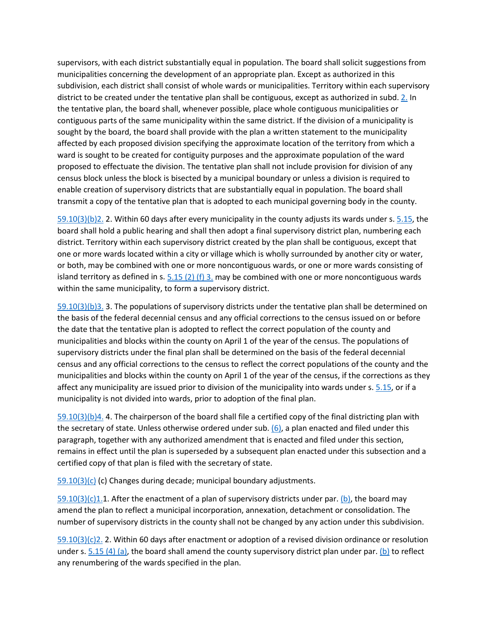supervisors, with each district substantially equal in population. The board shall solicit suggestions from municipalities concerning the development of an appropriate plan. Except as authorized in this subdivision, each district shall consist of whole wards or municipalities. Territory within each supervisory district to be created under the tentative plan shall be contiguous, except as authorized in subd. [2.](http://docs.legis.wisconsin.gov/document/statutes/59.10(3)(b)2.) In the tentative plan, the board shall, whenever possible, place whole contiguous municipalities or contiguous parts of the same municipality within the same district. If the division of a municipality is sought by the board, the board shall provide with the plan a written statement to the municipality affected by each proposed division specifying the approximate location of the territory from which a ward is sought to be created for contiguity purposes and the approximate population of the ward proposed to effectuate the division. The tentative plan shall not include provision for division of any census block unless the block is bisected by a municipal boundary or unless a division is required to enable creation of supervisory districts that are substantially equal in population. The board shall transmit a copy of the tentative plan that is adopted to each municipal governing body in the county.

[59.10\(3\)\(b\)2.](http://docs.legis.wisconsin.gov/document/statutes/59.10(3)(b)2.) 2. Within 60 days after every municipality in the county adjusts its wards under s. [5.15,](http://docs.legis.wisconsin.gov/document/statutes/5.15) the board shall hold a public hearing and shall then adopt a final supervisory district plan, numbering each district. Territory within each supervisory district created by the plan shall be contiguous, except that one or more wards located within a city or village which is wholly surrounded by another city or water, or both, may be combined with one or more noncontiguous wards, or one or more wards consisting of island territory as defined in s.  $5.15$  (2) (f) 3. may be combined with one or more noncontiguous wards within the same municipality, to form a supervisory district.

[59.10\(3\)\(b\)3.](http://docs.legis.wisconsin.gov/document/statutes/59.10(3)(b)3.) 3. The populations of supervisory districts under the tentative plan shall be determined on the basis of the federal decennial census and any official corrections to the census issued on or before the date that the tentative plan is adopted to reflect the correct population of the county and municipalities and blocks within the county on April 1 of the year of the census. The populations of supervisory districts under the final plan shall be determined on the basis of the federal decennial census and any official corrections to the census to reflect the correct populations of the county and the municipalities and blocks within the county on April 1 of the year of the census, if the corrections as they affect any municipality are issued prior to division of the municipality into wards under s[. 5.15,](http://docs.legis.wisconsin.gov/document/statutes/5.15) or if a municipality is not divided into wards, prior to adoption of the final plan.

[59.10\(3\)\(b\)4.](http://docs.legis.wisconsin.gov/document/statutes/59.10(3)(b)4.) 4. The chairperson of the board shall file a certified copy of the final districting plan with the secretary of state. Unless otherwise ordered under sub.  $(6)$ , a plan enacted and filed under this paragraph, together with any authorized amendment that is enacted and filed under this section, remains in effect until the plan is superseded by a subsequent plan enacted under this subsection and a certified copy of that plan is filed with the secretary of state.

 $59.10(3)(c)$  (c) Changes during decade; municipal boundary adjustments.

 $59.10(3)(c)1.1$ . After the enactment of a plan of supervisory districts under par[. \(b\),](http://docs.legis.wisconsin.gov/document/statutes/59.10(3)(b)) the board may amend the plan to reflect a municipal incorporation, annexation, detachment or consolidation. The number of supervisory districts in the county shall not be changed by any action under this subdivision.

[59.10\(3\)\(c\)2.](http://docs.legis.wisconsin.gov/document/statutes/59.10(3)(c)2.) 2. Within 60 days after enactment or adoption of a revised division ordinance or resolution under s[. 5.15 \(4\) \(a\),](http://docs.legis.wisconsin.gov/document/statutes/5.15(4)(a)) the board shall amend the county supervisory district plan under par[. \(b\)](http://docs.legis.wisconsin.gov/document/statutes/59.10(3)(b)) to reflect any renumbering of the wards specified in the plan.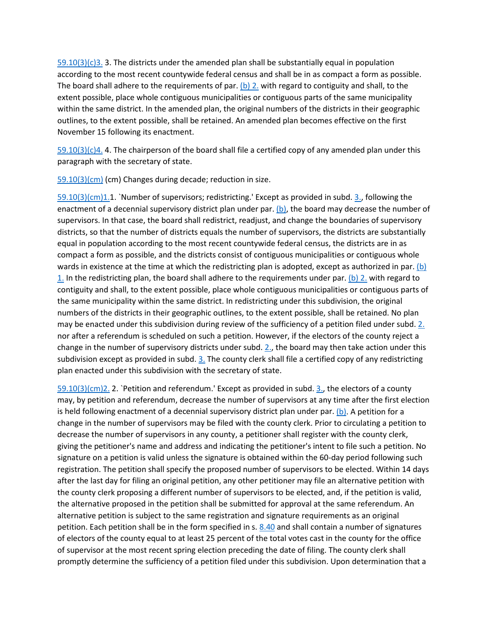$59.10(3)(c)3.$  3. The districts under the amended plan shall be substantially equal in population according to the most recent countywide federal census and shall be in as compact a form as possible. The board shall adhere to the requirements of par[. \(b\) 2.](http://docs.legis.wisconsin.gov/document/statutes/59.10(3)(b)2.) with regard to contiguity and shall, to the extent possible, place whole contiguous municipalities or contiguous parts of the same municipality within the same district. In the amended plan, the original numbers of the districts in their geographic outlines, to the extent possible, shall be retained. An amended plan becomes effective on the first November 15 following its enactment.

 $59.10(3)(c)4$ . 4. The chairperson of the board shall file a certified copy of any amended plan under this paragraph with the secretary of state.

[59.10\(3\)\(cm\)](http://docs.legis.wisconsin.gov/document/statutes/59.10(3)(cm)) (cm) Changes during decade; reduction in size.

[59.10\(3\)\(cm\)1.1](http://docs.legis.wisconsin.gov/document/statutes/59.10(3)(cm)1.). `Number of supervisors; redistricting.' Except as provided in subd. [3.,](http://docs.legis.wisconsin.gov/document/statutes/59.10(3)(cm)3.) following the enactment of a decennial supervisory district plan under par. [\(b\),](http://docs.legis.wisconsin.gov/document/statutes/59.10(3)(b)) the board may decrease the number of supervisors. In that case, the board shall redistrict, readjust, and change the boundaries of supervisory districts, so that the number of districts equals the number of supervisors, the districts are substantially equal in population according to the most recent countywide federal census, the districts are in as compact a form as possible, and the districts consist of contiguous municipalities or contiguous whole wards in existence at the time at which the redistricting plan is adopted, except as authorized in par. (b) [1.](http://docs.legis.wisconsin.gov/document/statutes/59.10(3)(b)1.) In the redistricting plan, the board shall adhere to the requirements under par. [\(b\) 2.](http://docs.legis.wisconsin.gov/document/statutes/59.10(3)(b)2.) with regard to contiguity and shall, to the extent possible, place whole contiguous municipalities or contiguous parts of the same municipality within the same district. In redistricting under this subdivision, the original numbers of the districts in their geographic outlines, to the extent possible, shall be retained. No plan may be enacted under this subdivision during review of the sufficiency of a petition filed under subd[. 2.](http://docs.legis.wisconsin.gov/document/statutes/59.10(3)(cm)2.) nor after a referendum is scheduled on such a petition. However, if the electors of the county reject a change in the number of supervisory districts under subd. [2.,](http://docs.legis.wisconsin.gov/document/statutes/59.10(3)(cm)2.) the board may then take action under this subdivision except as provided in subd. [3.](http://docs.legis.wisconsin.gov/document/statutes/59.10(3)(cm)3.) The county clerk shall file a certified copy of any redistricting plan enacted under this subdivision with the secretary of state.

[59.10\(3\)\(cm\)2.](http://docs.legis.wisconsin.gov/document/statutes/59.10(3)(cm)2.) 2. `Petition and referendum.' Except as provided in subd. [3.,](http://docs.legis.wisconsin.gov/document/statutes/59.10(3)(cm)3.) the electors of a county may, by petition and referendum, decrease the number of supervisors at any time after the first election is held following enactment of a decennial supervisory district plan under par. [\(b\).](http://docs.legis.wisconsin.gov/document/statutes/59.10(3)(b)) A petition for a change in the number of supervisors may be filed with the county clerk. Prior to circulating a petition to decrease the number of supervisors in any county, a petitioner shall register with the county clerk, giving the petitioner's name and address and indicating the petitioner's intent to file such a petition. No signature on a petition is valid unless the signature is obtained within the 60-day period following such registration. The petition shall specify the proposed number of supervisors to be elected. Within 14 days after the last day for filing an original petition, any other petitioner may file an alternative petition with the county clerk proposing a different number of supervisors to be elected, and, if the petition is valid, the alternative proposed in the petition shall be submitted for approval at the same referendum. An alternative petition is subject to the same registration and signature requirements as an original petition. Each petition shall be in the form specified in s[. 8.40](http://docs.legis.wisconsin.gov/document/statutes/8.40) and shall contain a number of signatures of electors of the county equal to at least 25 percent of the total votes cast in the county for the office of supervisor at the most recent spring election preceding the date of filing. The county clerk shall promptly determine the sufficiency of a petition filed under this subdivision. Upon determination that a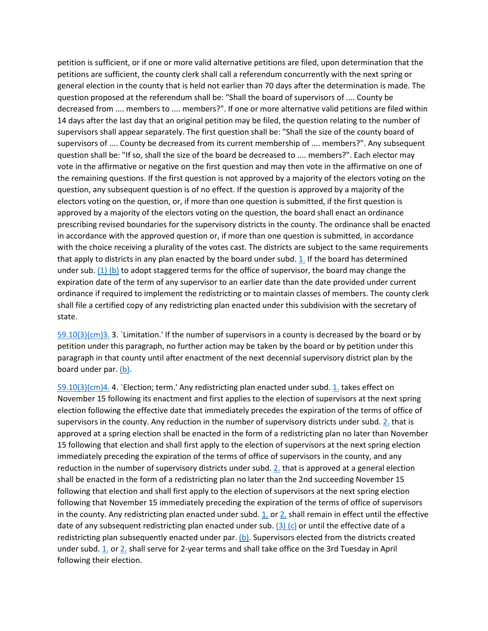petition is sufficient, or if one or more valid alternative petitions are filed, upon determination that the petitions are sufficient, the county clerk shall call a referendum concurrently with the next spring or general election in the county that is held not earlier than 70 days after the determination is made. The question proposed at the referendum shall be: "Shall the board of supervisors of .... County be decreased from .... members to .... members?". If one or more alternative valid petitions are filed within 14 days after the last day that an original petition may be filed, the question relating to the number of supervisors shall appear separately. The first question shall be: "Shall the size of the county board of supervisors of .... County be decreased from its current membership of .... members?". Any subsequent question shall be: "If so, shall the size of the board be decreased to .... members?". Each elector may vote in the affirmative or negative on the first question and may then vote in the affirmative on one of the remaining questions. If the first question is not approved by a majority of the electors voting on the question, any subsequent question is of no effect. If the question is approved by a majority of the electors voting on the question, or, if more than one question is submitted, if the first question is approved by a majority of the electors voting on the question, the board shall enact an ordinance prescribing revised boundaries for the supervisory districts in the county. The ordinance shall be enacted in accordance with the approved question or, if more than one question is submitted, in accordance with the choice receiving a plurality of the votes cast. The districts are subject to the same requirements that apply to districts in any plan enacted by the board under subd. [1.](http://docs.legis.wisconsin.gov/document/statutes/59.10(3)(cm)1.) If the board has determined under sub. [\(1\) \(b\)](http://docs.legis.wisconsin.gov/document/statutes/59.10(1)(b)) to adopt staggered terms for the office of supervisor, the board may change the expiration date of the term of any supervisor to an earlier date than the date provided under current ordinance if required to implement the redistricting or to maintain classes of members. The county clerk shall file a certified copy of any redistricting plan enacted under this subdivision with the secretary of state.

[59.10\(3\)\(cm\)3.](http://docs.legis.wisconsin.gov/document/statutes/59.10(3)(cm)3.) 3. `Limitation.' If the number of supervisors in a county is decreased by the board or by petition under this paragraph, no further action may be taken by the board or by petition under this paragraph in that county until after enactment of the next decennial supervisory district plan by the board under par. [\(b\).](http://docs.legis.wisconsin.gov/document/statutes/59.10(3)(b))

[59.10\(3\)\(cm\)4.](http://docs.legis.wisconsin.gov/document/statutes/59.10(3)(cm)4.) 4. `Election; term.' Any redistricting plan enacted under subd. [1.](http://docs.legis.wisconsin.gov/document/statutes/59.10(3)(cm)1.) takes effect on November 15 following its enactment and first applies to the election of supervisors at the next spring election following the effective date that immediately precedes the expiration of the terms of office of supervisors in the county. Any reduction in the number of supervisory districts under subd[. 2.](http://docs.legis.wisconsin.gov/document/statutes/59.10(3)(cm)2.) that is approved at a spring election shall be enacted in the form of a redistricting plan no later than November 15 following that election and shall first apply to the election of supervisors at the next spring election immediately preceding the expiration of the terms of office of supervisors in the county, and any reduction in the number of supervisory districts under subd. [2.](http://docs.legis.wisconsin.gov/document/statutes/59.10(3)(cm)2.) that is approved at a general election shall be enacted in the form of a redistricting plan no later than the 2nd succeeding November 15 following that election and shall first apply to the election of supervisors at the next spring election following that November 15 immediately preceding the expiration of the terms of office of supervisors in the county. Any redistricting plan enacted under subd. [1.](http://docs.legis.wisconsin.gov/document/statutes/59.10(3)(cm)1.) o[r 2.](http://docs.legis.wisconsin.gov/document/statutes/59.10(3)(cm)2.) shall remain in effect until the effective date of any subsequent redistricting plan enacted under sub.  $(3)$  (c) or until the effective date of a redistricting plan subsequently enacted under par.  $(b)$ . Supervisors elected from the districts created under subd. [1.](http://docs.legis.wisconsin.gov/document/statutes/59.10(3)(cm)1.) or [2.](http://docs.legis.wisconsin.gov/document/statutes/59.10(3)(cm)2.) shall serve for 2-year terms and shall take office on the 3rd Tuesday in April following their election.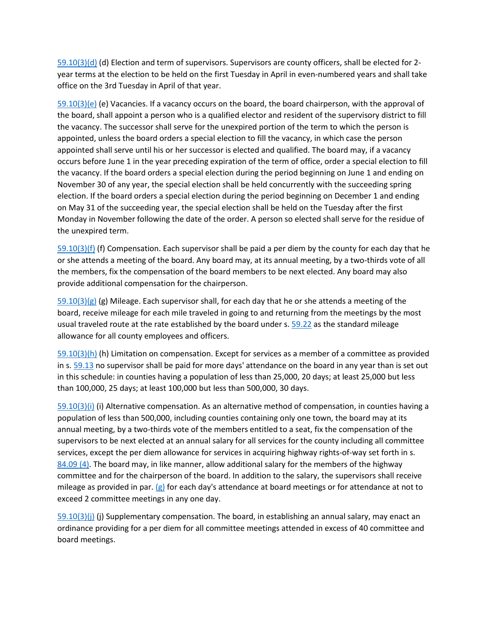[59.10\(3\)\(d\)](http://docs.legis.wisconsin.gov/document/statutes/59.10(3)(d)) (d) Election and term of supervisors. Supervisors are county officers, shall be elected for 2 year terms at the election to be held on the first Tuesday in April in even-numbered years and shall take office on the 3rd Tuesday in April of that year.

[59.10\(3\)\(e\)](http://docs.legis.wisconsin.gov/document/statutes/59.10(3)(e)) (e) Vacancies. If a vacancy occurs on the board, the board chairperson, with the approval of the board, shall appoint a person who is a qualified elector and resident of the supervisory district to fill the vacancy. The successor shall serve for the unexpired portion of the term to which the person is appointed, unless the board orders a special election to fill the vacancy, in which case the person appointed shall serve until his or her successor is elected and qualified. The board may, if a vacancy occurs before June 1 in the year preceding expiration of the term of office, order a special election to fill the vacancy. If the board orders a special election during the period beginning on June 1 and ending on November 30 of any year, the special election shall be held concurrently with the succeeding spring election. If the board orders a special election during the period beginning on December 1 and ending on May 31 of the succeeding year, the special election shall be held on the Tuesday after the first Monday in November following the date of the order. A person so elected shall serve for the residue of the unexpired term.

[59.10\(3\)\(f\)](http://docs.legis.wisconsin.gov/document/statutes/59.10(3)(f)) (f) Compensation. Each supervisor shall be paid a per diem by the county for each day that he or she attends a meeting of the board. Any board may, at its annual meeting, by a two-thirds vote of all the members, fix the compensation of the board members to be next elected. Any board may also provide additional compensation for the chairperson.

 $59.10(3)(g)$  (g) Mileage. Each supervisor shall, for each day that he or she attends a meeting of the board, receive mileage for each mile traveled in going to and returning from the meetings by the most usual traveled route at the rate established by the board under s. [59.22](http://docs.legis.wisconsin.gov/document/statutes/59.22) as the standard mileage allowance for all county employees and officers.

[59.10\(3\)\(h\)](http://docs.legis.wisconsin.gov/document/statutes/59.10(3)(h)) (h) Limitation on compensation. Except for services as a member of a committee as provided in s. [59.13](http://docs.legis.wisconsin.gov/document/statutes/59.13) no supervisor shall be paid for more days' attendance on the board in any year than is set out in this schedule: in counties having a population of less than 25,000, 20 days; at least 25,000 but less than 100,000, 25 days; at least 100,000 but less than 500,000, 30 days.

[59.10\(3\)\(i\)](http://docs.legis.wisconsin.gov/document/statutes/59.10(3)(i)) (i) Alternative compensation. As an alternative method of compensation, in counties having a population of less than 500,000, including counties containing only one town, the board may at its annual meeting, by a two-thirds vote of the members entitled to a seat, fix the compensation of the supervisors to be next elected at an annual salary for all services for the county including all committee services, except the per diem allowance for services in acquiring highway rights-of-way set forth in s. [84.09 \(4\).](http://docs.legis.wisconsin.gov/document/statutes/84.09(4)) The board may, in like manner, allow additional salary for the members of the highway committee and for the chairperson of the board. In addition to the salary, the supervisors shall receive mileage as provided in par. [\(g\)](http://docs.legis.wisconsin.gov/document/statutes/59.10(3)(g)) for each day's attendance at board meetings or for attendance at not to exceed 2 committee meetings in any one day.

[59.10\(3\)\(j\)](http://docs.legis.wisconsin.gov/document/statutes/59.10(3)(j)) (j) Supplementary compensation. The board, in establishing an annual salary, may enact an ordinance providing for a per diem for all committee meetings attended in excess of 40 committee and board meetings.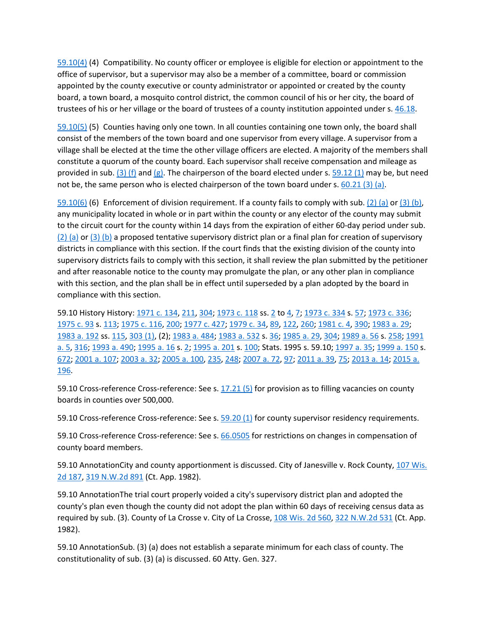[59.10\(4\)](http://docs.legis.wisconsin.gov/document/statutes/59.10(4)) (4) Compatibility. No county officer or employee is eligible for election or appointment to the office of supervisor, but a supervisor may also be a member of a committee, board or commission appointed by the county executive or county administrator or appointed or created by the county board, a town board, a mosquito control district, the common council of his or her city, the board of trustees of his or her village or the board of trustees of a county institution appointed under s[. 46.18.](http://docs.legis.wisconsin.gov/document/statutes/46.18)

[59.10\(5\)](http://docs.legis.wisconsin.gov/document/statutes/59.10(5)) (5) Counties having only one town. In all counties containing one town only, the board shall consist of the members of the town board and one supervisor from every village. A supervisor from a village shall be elected at the time the other village officers are elected. A majority of the members shall constitute a quorum of the county board. Each supervisor shall receive compensation and mileage as provided in sub. [\(3\) \(f\)](http://docs.legis.wisconsin.gov/document/statutes/59.10(3)(f)) and [\(g\).](http://docs.legis.wisconsin.gov/document/statutes/59.10(3)(g)) The chairperson of the board elected under s. [59.12 \(1\)](http://docs.legis.wisconsin.gov/document/statutes/59.12(1)) may be, but need not be, the same person who is elected chairperson of the town board under s. [60.21 \(3\) \(a\).](http://docs.legis.wisconsin.gov/document/statutes/60.21(3)(a))

[59.10\(6\)](http://docs.legis.wisconsin.gov/document/statutes/59.10(6)) (6) Enforcement of division requirement. If a county fails to comply with sub[. \(2\) \(a\)](http://docs.legis.wisconsin.gov/document/statutes/59.10(2)(a)) or [\(3\) \(b\),](http://docs.legis.wisconsin.gov/document/statutes/59.10(3)(b)) any municipality located in whole or in part within the county or any elector of the county may submit to the circuit court for the county within 14 days from the expiration of either 60-day period under sub. [\(2\) \(a\)](http://docs.legis.wisconsin.gov/document/statutes/59.10(2)(a)) or [\(3\) \(b\)](http://docs.legis.wisconsin.gov/document/statutes/59.10(3)(b)) a proposed tentative supervisory district plan or a final plan for creation of supervisory districts in compliance with this section. If the court finds that the existing division of the county into supervisory districts fails to comply with this section, it shall review the plan submitted by the petitioner and after reasonable notice to the county may promulgate the plan, or any other plan in compliance with this section, and the plan shall be in effect until superseded by a plan adopted by the board in compliance with this section.

59.10 History History[: 1971 c. 134,](http://docs.legis.wisconsin.gov/document/acts/1971/134) [211,](http://docs.legis.wisconsin.gov/document/acts/1971/211) [304;](http://docs.legis.wisconsin.gov/document/acts/1971/304) [1973 c. 118](http://docs.legis.wisconsin.gov/document/acts/1973/118) ss. [2](http://docs.legis.wisconsin.gov/document/acts/1973/118,%20s.%202) to [4,](http://docs.legis.wisconsin.gov/document/acts/1973/118,%20s.%204) [7;](http://docs.legis.wisconsin.gov/document/acts/1973/118,%20s.%207) 1973 [c. 334](http://docs.legis.wisconsin.gov/document/acts/1973/334) s[. 57;](http://docs.legis.wisconsin.gov/document/acts/1973/334,%20s.%2057) [1973 c. 336;](http://docs.legis.wisconsin.gov/document/acts/1973/336) [1975 c. 93](http://docs.legis.wisconsin.gov/document/acts/1975/93) s. [113;](http://docs.legis.wisconsin.gov/document/acts/1975/93,%20s.%20113) [1975 c. 116,](http://docs.legis.wisconsin.gov/document/acts/1975/116) [200;](http://docs.legis.wisconsin.gov/document/acts/1975/200) [1977 c. 427;](http://docs.legis.wisconsin.gov/document/acts/1977/427) [1979 c. 34,](http://docs.legis.wisconsin.gov/document/acts/1979/34) [89,](http://docs.legis.wisconsin.gov/document/acts/1979/89) [122,](http://docs.legis.wisconsin.gov/document/acts/1979/122) [260;](http://docs.legis.wisconsin.gov/document/acts/1979/260) [1981 c. 4,](http://docs.legis.wisconsin.gov/document/acts/1981/4) [390;](http://docs.legis.wisconsin.gov/document/acts/1981/390) [1983 a. 29;](http://docs.legis.wisconsin.gov/document/acts/1983/29) [1983 a. 192](http://docs.legis.wisconsin.gov/document/acts/1983/192) ss[. 115,](http://docs.legis.wisconsin.gov/document/acts/1983/192,%20s.%20115) [303 \(1\),](http://docs.legis.wisconsin.gov/document/acts/1983/192,%20s.%20303) (2)[; 1983 a. 484;](http://docs.legis.wisconsin.gov/document/acts/1983/484) [1983 a. 532](http://docs.legis.wisconsin.gov/document/acts/1983/532) s. [36;](http://docs.legis.wisconsin.gov/document/acts/1983/532,%20s.%2036) [1985 a. 29,](http://docs.legis.wisconsin.gov/document/acts/1985/29) [304;](http://docs.legis.wisconsin.gov/document/acts/1985/304) [1989 a. 56](http://docs.legis.wisconsin.gov/document/acts/1989/56) s. [258;](http://docs.legis.wisconsin.gov/document/acts/1989/56,%20s.%20258) [1991](http://docs.legis.wisconsin.gov/document/acts/1991/5)  [a. 5,](http://docs.legis.wisconsin.gov/document/acts/1991/5) [316;](http://docs.legis.wisconsin.gov/document/acts/1991/316) [1993 a. 490;](http://docs.legis.wisconsin.gov/document/acts/1993/490) [1995 a. 16](http://docs.legis.wisconsin.gov/document/acts/1995/16) s[. 2;](http://docs.legis.wisconsin.gov/document/acts/1995/16,%20s.%202) [1995 a. 201](http://docs.legis.wisconsin.gov/document/acts/1995/201) s[. 100;](http://docs.legis.wisconsin.gov/document/acts/1995/201,%20s.%20100) Stats. 1995 s. 59.10; [1997 a. 35;](http://docs.legis.wisconsin.gov/document/acts/1997/35) [1999 a. 150](http://docs.legis.wisconsin.gov/document/acts/1999/150) s. [672;](http://docs.legis.wisconsin.gov/document/acts/1999/150,%20s.%20672) [2001 a. 107;](http://docs.legis.wisconsin.gov/document/acts/2001/107) [2003 a. 32;](http://docs.legis.wisconsin.gov/document/acts/2003/32) [2005 a. 100,](http://docs.legis.wisconsin.gov/document/acts/2005/100) [235,](http://docs.legis.wisconsin.gov/document/acts/2005/235) [248;](http://docs.legis.wisconsin.gov/document/acts/2005/248) [2007 a. 72,](http://docs.legis.wisconsin.gov/document/acts/2007/72) [97;](http://docs.legis.wisconsin.gov/document/acts/2007/97) [2011 a. 39,](http://docs.legis.wisconsin.gov/document/acts/2011/39) [75;](http://docs.legis.wisconsin.gov/document/acts/2011/75) [2013 a. 14;](http://docs.legis.wisconsin.gov/document/acts/2013/14) [2015 a.](http://docs.legis.wisconsin.gov/document/acts/2015/196)  [196.](http://docs.legis.wisconsin.gov/document/acts/2015/196)

59.10 Cross-reference Cross-reference: See s. [17.21 \(5\)](http://docs.legis.wisconsin.gov/document/statutes/17.21(5)) for provision as to filling vacancies on county boards in counties over 500,000.

59.10 Cross-reference Cross-reference: See s. [59.20 \(1\)](http://docs.legis.wisconsin.gov/document/statutes/59.20(1)) for county supervisor residency requirements.

59.10 Cross-reference Cross-reference: See s. [66.0505](http://docs.legis.wisconsin.gov/document/statutes/66.0505) for restrictions on changes in compensation of county board members.

59.10 AnnotationCity and county apportionment is discussed. City of Janesville v. Rock County, [107 Wis.](http://docs.legis.wisconsin.gov/document/courts/107%20Wis.%202d%20187)  [2d 187,](http://docs.legis.wisconsin.gov/document/courts/107%20Wis.%202d%20187) [319 N.W.2d 891](http://docs.legis.wisconsin.gov/document/courts/319%20N.W.2d%20891) (Ct. App. 1982).

59.10 AnnotationThe trial court properly voided a city's supervisory district plan and adopted the county's plan even though the county did not adopt the plan within 60 days of receiving census data as required by sub. (3). County of La Crosse v. City of La Crosse, [108 Wis. 2d 560,](http://docs.legis.wisconsin.gov/document/courts/108%20Wis.%202d%20560) [322 N.W.2d 531](http://docs.legis.wisconsin.gov/document/courts/322%20N.W.2d%20531) (Ct. App. 1982).

59.10 AnnotationSub. (3) (a) does not establish a separate minimum for each class of county. The constitutionality of sub. (3) (a) is discussed. 60 Atty. Gen. 327.